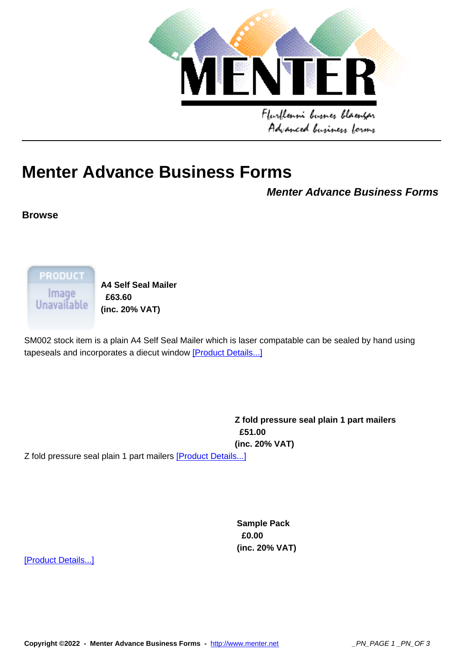

# **Menter Advan[ce Business Forms](http://www.menter.net)**

**Menter Advance Business Forms**

### **Browse**

**PRODUCT** lmage<br>Unavailable

**A4 Self Seal Mailer £63.60 (inc. 20% VAT)** 

SM002 stock item is a plain A4 Self Seal Mailer which is laser compatable can be sealed by hand using tapeseals and incorporates a diecut window [Product Details...]

> **Z fold pressure seal plain 1 part mailers £51.00 (inc. 20% VAT)**

Z fold pressure seal plain 1 part mailers [Product Details...]

**Sample Pack £0.00 (inc. 20% VAT)** 

[Product Details...]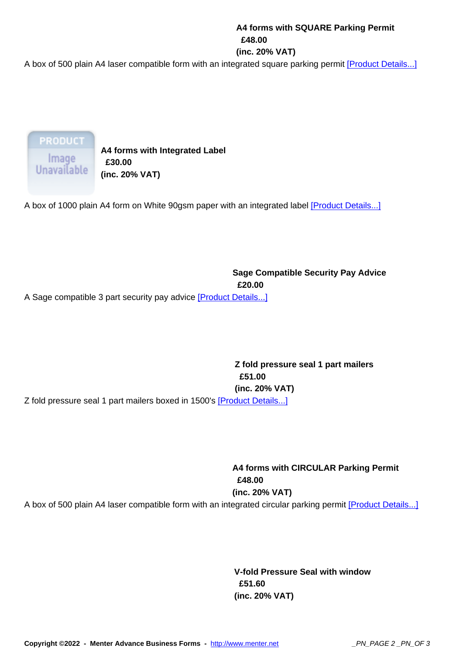#### **£48.00**

#### **(inc. 20% VAT)**

A box of 500 plain A4 laser compatible form with an integrated square parking permit [Product Details...]

**PRODUCT** Image Unavailable

**A4 forms with Integrated Label £30.00 (inc. 20% VAT)** 

A box of 1000 plain A4 form on White 90gsm paper with an integrated label [Product Details...]

## **Sage Compatible Security Pay Advice £20.00**

A Sage compatible 3 part security pay advice [Product Details...]

**Z fold pressure seal 1 part mailers £51.00 (inc. 20% VAT)**  Z fold pressure seal 1 part mailers boxed in 1500's [Product Details...]

> **A4 forms with CIRCULAR Parking Permit £48.00 (inc. 20% VAT)**

A box of 500 plain A4 laser compatible form with an integrated circular parking permit [Product Details...]

**V-fold Pressure Seal with window £51.60 (inc. 20% VAT)** 

**Copyright ©2022 - Menter Advance Business Forms -** http://www.menter.net \_PN\_PAGE 2 \_PN\_OF 3